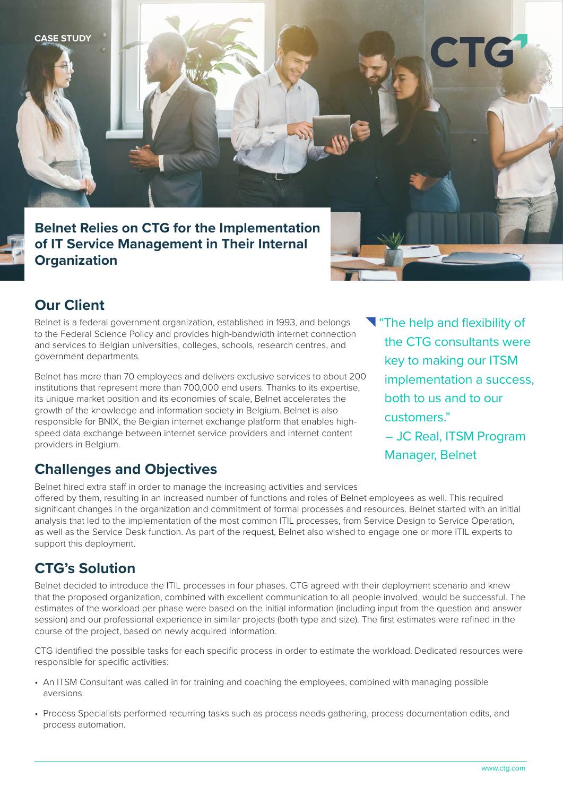**CASE STUDY**

**Belnet Relies on CTG for the Implementation of IT Service Management in Their Internal Organization**



Belnet is a federal government organization, established in 1993, and belongs to the Federal Science Policy and provides high-bandwidth internet connection and services to Belgian universities, colleges, schools, research centres, and government departments.

Belnet has more than 70 employees and delivers exclusive services to about 200 institutions that represent more than 700,000 end users. Thanks to its expertise, its unique market position and its economies of scale, Belnet accelerates the growth of the knowledge and information society in Belgium. Belnet is also responsible for BNIX, the Belgian internet exchange platform that enables highspeed data exchange between internet service providers and internet content providers in Belgium.

The help and flexibility of the CTG consultants were key to making our ITSM implementation a success, both to us and to our customers." – JC Real, ITSM Program Manager, Belnet

## **Challenges and Objectives**

Belnet hired extra staff in order to manage the increasing activities and services offered by them, resulting in an increased number of functions and roles of Belnet employees as well. This required significant changes in the organization and commitment of formal processes and resources. Belnet started with an initial analysis that led to the implementation of the most common ITIL processes, from Service Design to Service Operation, as well as the Service Desk function. As part of the request, Belnet also wished to engage one or more ITIL experts to support this deployment.

## **CTG's Solution**

Belnet decided to introduce the ITIL processes in four phases. CTG agreed with their deployment scenario and knew that the proposed organization, combined with excellent communication to all people involved, would be successful. The estimates of the workload per phase were based on the initial information (including input from the question and answer session) and our professional experience in similar projects (both type and size). The first estimates were refined in the course of the project, based on newly acquired information.

CTG identified the possible tasks for each specific process in order to estimate the workload. Dedicated resources were responsible for specific activities:

- An ITSM Consultant was called in for training and coaching the employees, combined with managing possible aversions.
- Process Specialists performed recurring tasks such as process needs gathering, process documentation edits, and process automation.